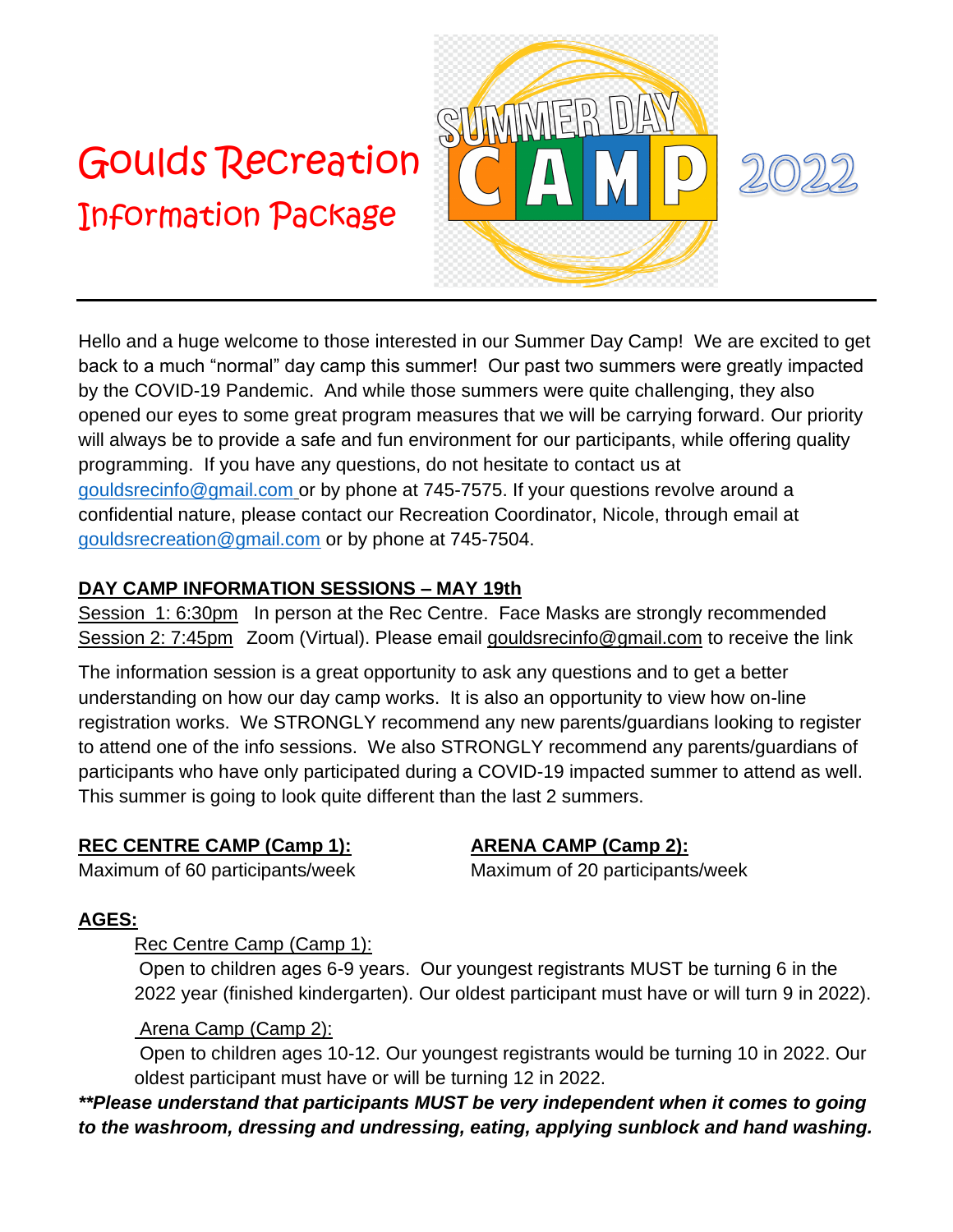# Goulds Recreation Information Package





Hello and a huge welcome to those interested in our Summer Day Camp! We are excited to get back to a much "normal" day camp this summer! Our past two summers were greatly impacted by the COVID-19 Pandemic. And while those summers were quite challenging, they also opened our eyes to some great program measures that we will be carrying forward. Our priority will always be to provide a safe and fun environment for our participants, while offering quality programming. If you have any questions, do not hesitate to contact us at [gouldsrecinfo@gmail.com](mailto:gouldsrecinfo@gmail.com) or by phone at 745-7575. If your questions revolve around a confidential nature, please contact our Recreation Coordinator, Nicole, through email at [gouldsrecreation@gmail.com](mailto:gouldsrecreation@gmail.com) or by phone at 745-7504.

#### **DAY CAMP INFORMATION SESSIONS – MAY 19th**

Session 1: 6:30pm In person at the Rec Centre. Face Masks are strongly recommended Session 2: 7:45pm Zoom (Virtual). Please email [gouldsrecinfo@gmail.com](mailto:gouldsrecinfo@gmail.com) to receive the link

The information session is a great opportunity to ask any questions and to get a better understanding on how our day camp works. It is also an opportunity to view how on-line registration works. We STRONGLY recommend any new parents/guardians looking to register to attend one of the info sessions. We also STRONGLY recommend any parents/guardians of participants who have only participated during a COVID-19 impacted summer to attend as well. This summer is going to look quite different than the last 2 summers.

# **REC CENTRE CAMP (Camp 1): ARENA CAMP (Camp 2):**

Maximum of 60 participants/week Maximum of 20 participants/week

# **AGES:**

#### Rec Centre Camp (Camp 1):

Open to children ages 6-9 years. Our youngest registrants MUST be turning 6 in the 2022 year (finished kindergarten). Our oldest participant must have or will turn 9 in 2022).

# Arena Camp (Camp 2):

Open to children ages 10-12. Our youngest registrants would be turning 10 in 2022. Our oldest participant must have or will be turning 12 in 2022.

*\*\*Please understand that participants MUST be very independent when it comes to going to the washroom, dressing and undressing, eating, applying sunblock and hand washing.*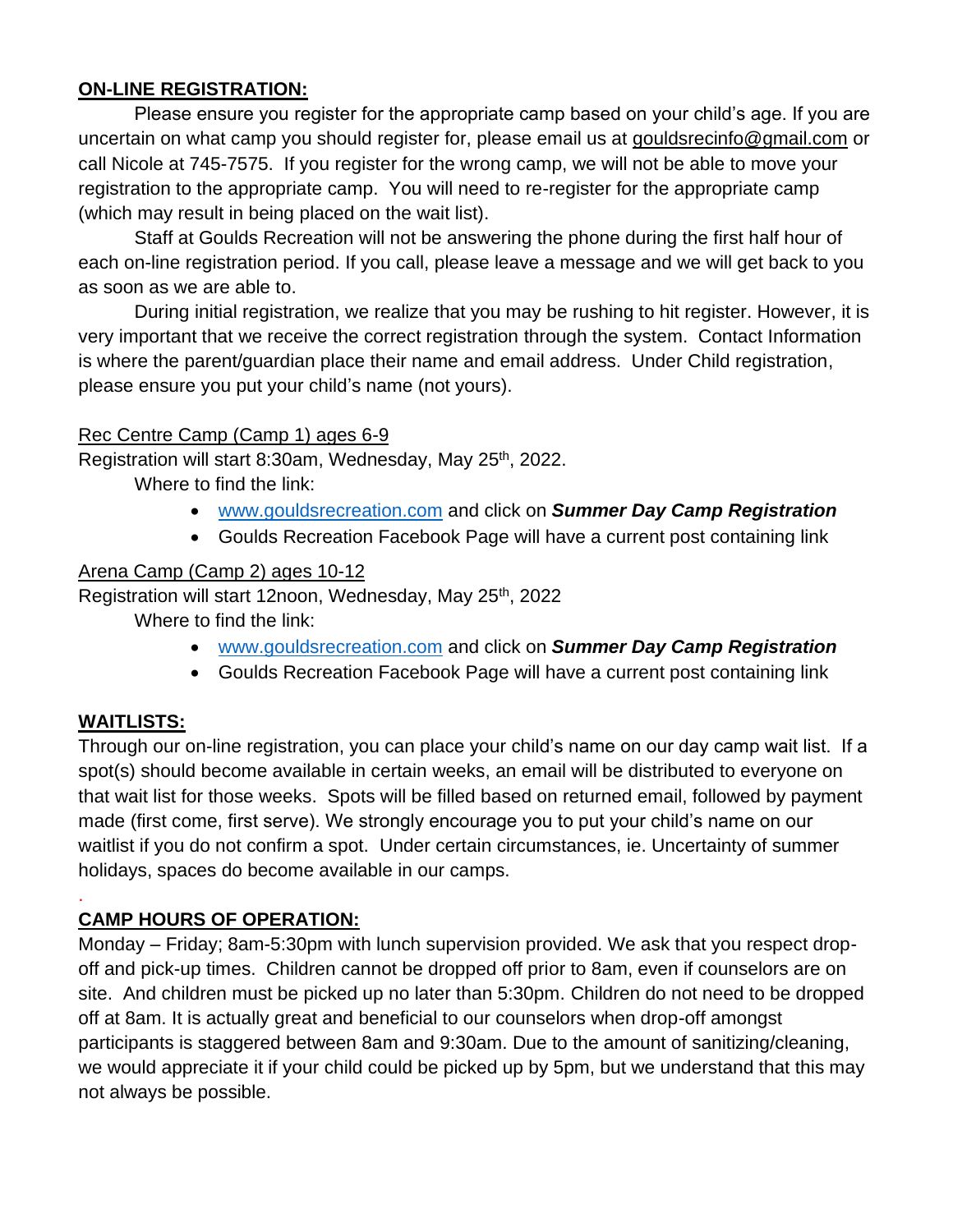#### **ON-LINE REGISTRATION:**

Please ensure you register for the appropriate camp based on your child's age. If you are uncertain on what camp you should register for, please email us at [gouldsrecinfo@gmail.com](mailto:gouldsrecinfo@gmail.com) or call Nicole at 745-7575. If you register for the wrong camp, we will not be able to move your registration to the appropriate camp. You will need to re-register for the appropriate camp (which may result in being placed on the wait list).

Staff at Goulds Recreation will not be answering the phone during the first half hour of each on-line registration period. If you call, please leave a message and we will get back to you as soon as we are able to.

During initial registration, we realize that you may be rushing to hit register. However, it is very important that we receive the correct registration through the system. Contact Information is where the parent/guardian place their name and email address. Under Child registration, please ensure you put your child's name (not yours).

#### Rec Centre Camp (Camp 1) ages 6-9

Registration will start 8:30am, Wednesday, May 25<sup>th</sup>, 2022.

Where to find the link:

- [www.gouldsrecreation.com](http://www.gouldsrecreation.com/) and click on *Summer Day Camp Registration*
- Goulds Recreation Facebook Page will have a current post containing link

#### Arena Camp (Camp 2) ages 10-12

Registration will start 12noon, Wednesday, May 25<sup>th</sup>, 2022

Where to find the link:

- [www.gouldsrecreation.com](http://www.gouldsrecreation.com/) and click on *Summer Day Camp Registration*
- Goulds Recreation Facebook Page will have a current post containing link

#### **WAITLISTS:**

.

Through our on-line registration, you can place your child's name on our day camp wait list. If a spot(s) should become available in certain weeks, an email will be distributed to everyone on that wait list for those weeks. Spots will be filled based on returned email, followed by payment made (first come, first serve). We strongly encourage you to put your child's name on our waitlist if you do not confirm a spot. Under certain circumstances, ie. Uncertainty of summer holidays, spaces do become available in our camps.

#### **CAMP HOURS OF OPERATION:**

Monday – Friday; 8am-5:30pm with lunch supervision provided. We ask that you respect dropoff and pick-up times. Children cannot be dropped off prior to 8am, even if counselors are on site. And children must be picked up no later than 5:30pm. Children do not need to be dropped off at 8am. It is actually great and beneficial to our counselors when drop-off amongst participants is staggered between 8am and 9:30am. Due to the amount of sanitizing/cleaning, we would appreciate it if your child could be picked up by 5pm, but we understand that this may not always be possible.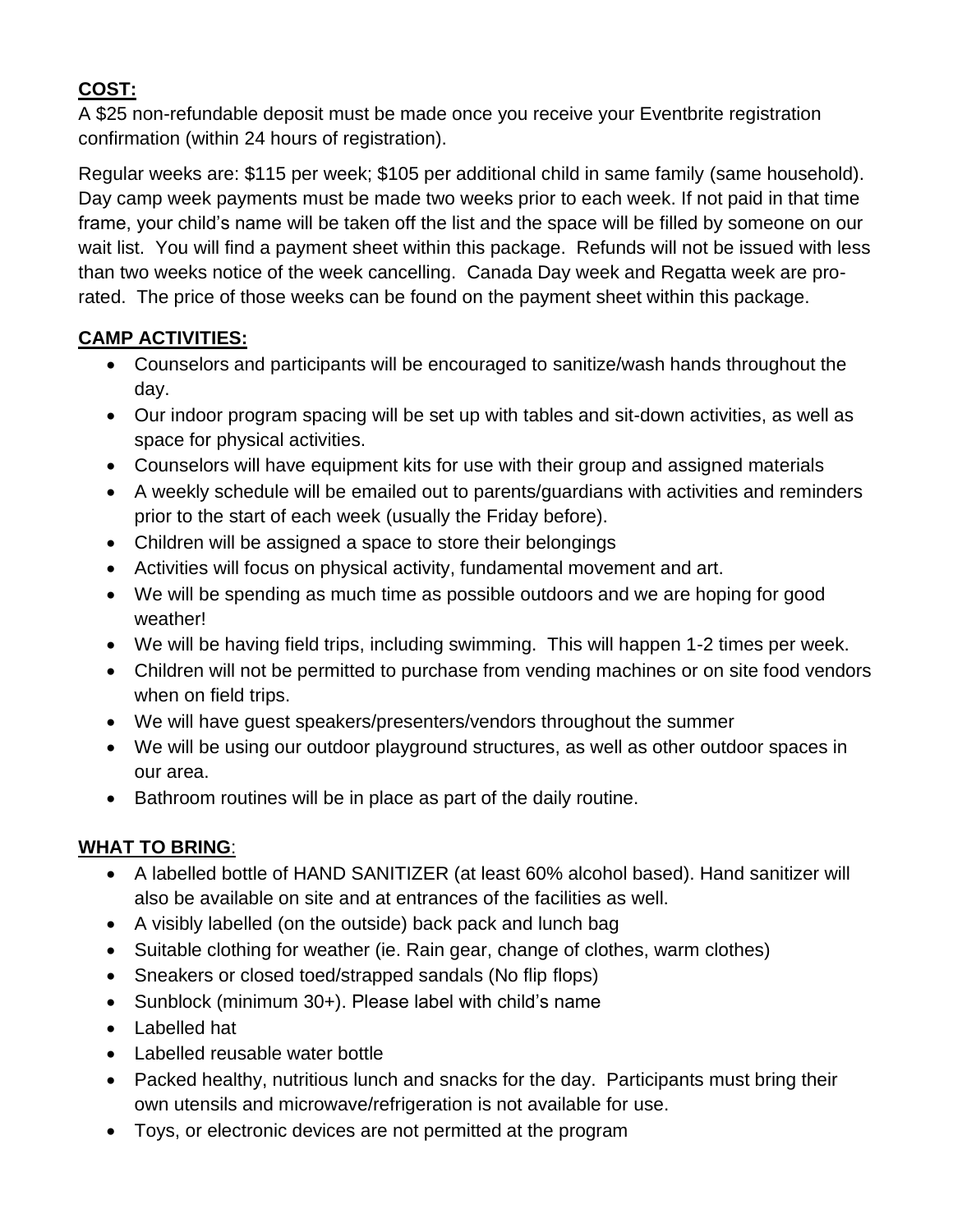# **COST:**

A \$25 non-refundable deposit must be made once you receive your Eventbrite registration confirmation (within 24 hours of registration).

Regular weeks are: \$115 per week; \$105 per additional child in same family (same household). Day camp week payments must be made two weeks prior to each week. If not paid in that time frame, your child's name will be taken off the list and the space will be filled by someone on our wait list. You will find a payment sheet within this package. Refunds will not be issued with less than two weeks notice of the week cancelling. Canada Day week and Regatta week are prorated. The price of those weeks can be found on the payment sheet within this package.

#### **CAMP ACTIVITIES:**

- Counselors and participants will be encouraged to sanitize/wash hands throughout the day.
- Our indoor program spacing will be set up with tables and sit-down activities, as well as space for physical activities.
- Counselors will have equipment kits for use with their group and assigned materials
- A weekly schedule will be emailed out to parents/guardians with activities and reminders prior to the start of each week (usually the Friday before).
- Children will be assigned a space to store their belongings
- Activities will focus on physical activity, fundamental movement and art.
- We will be spending as much time as possible outdoors and we are hoping for good weather!
- We will be having field trips, including swimming. This will happen 1-2 times per week.
- Children will not be permitted to purchase from vending machines or on site food vendors when on field trips.
- We will have guest speakers/presenters/vendors throughout the summer
- We will be using our outdoor playground structures, as well as other outdoor spaces in our area.
- Bathroom routines will be in place as part of the daily routine.

# **WHAT TO BRING**:

- A labelled bottle of HAND SANITIZER (at least 60% alcohol based). Hand sanitizer will also be available on site and at entrances of the facilities as well.
- A visibly labelled (on the outside) back pack and lunch bag
- Suitable clothing for weather (ie. Rain gear, change of clothes, warm clothes)
- Sneakers or closed toed/strapped sandals (No flip flops)
- Sunblock (minimum 30+). Please label with child's name
- Labelled hat
- Labelled reusable water bottle
- Packed healthy, nutritious lunch and snacks for the day. Participants must bring their own utensils and microwave/refrigeration is not available for use.
- Toys, or electronic devices are not permitted at the program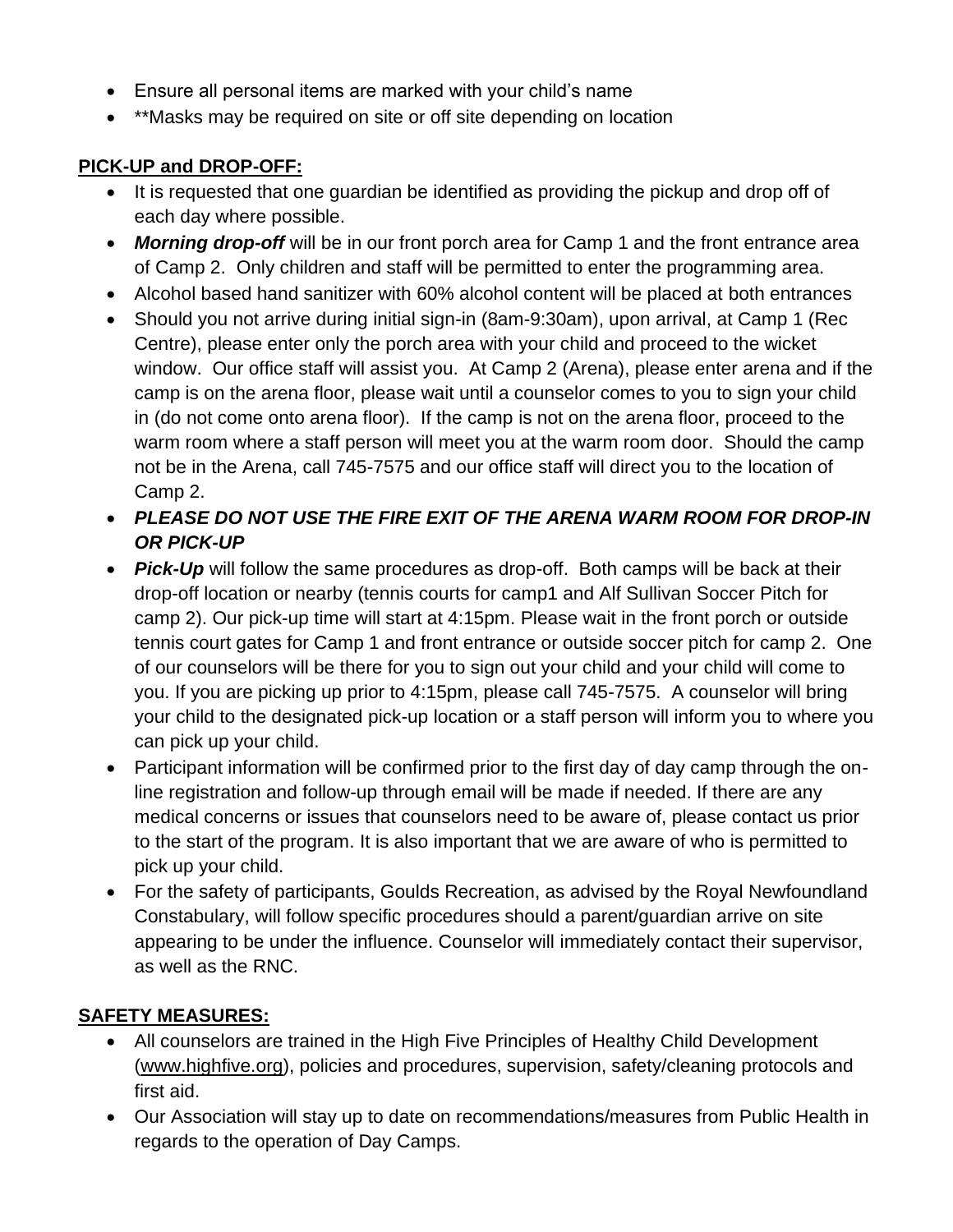- Ensure all personal items are marked with your child's name
- \*\*Masks may be required on site or off site depending on location

#### **PICK-UP and DROP-OFF:**

- It is requested that one guardian be identified as providing the pickup and drop off of each day where possible.
- *Morning drop-off* will be in our front porch area for Camp 1 and the front entrance area of Camp 2. Only children and staff will be permitted to enter the programming area.
- Alcohol based hand sanitizer with 60% alcohol content will be placed at both entrances
- Should you not arrive during initial sign-in (8am-9:30am), upon arrival, at Camp 1 (Rec Centre), please enter only the porch area with your child and proceed to the wicket window. Our office staff will assist you. At Camp 2 (Arena), please enter arena and if the camp is on the arena floor, please wait until a counselor comes to you to sign your child in (do not come onto arena floor). If the camp is not on the arena floor, proceed to the warm room where a staff person will meet you at the warm room door. Should the camp not be in the Arena, call 745-7575 and our office staff will direct you to the location of Camp 2.
- *PLEASE DO NOT USE THE FIRE EXIT OF THE ARENA WARM ROOM FOR DROP-IN OR PICK-UP*
- *Pick-Up* will follow the same procedures as drop-off. Both camps will be back at their drop-off location or nearby (tennis courts for camp1 and Alf Sullivan Soccer Pitch for camp 2). Our pick-up time will start at 4:15pm. Please wait in the front porch or outside tennis court gates for Camp 1 and front entrance or outside soccer pitch for camp 2. One of our counselors will be there for you to sign out your child and your child will come to you. If you are picking up prior to 4:15pm, please call 745-7575. A counselor will bring your child to the designated pick-up location or a staff person will inform you to where you can pick up your child.
- Participant information will be confirmed prior to the first day of day camp through the online registration and follow-up through email will be made if needed. If there are any medical concerns or issues that counselors need to be aware of, please contact us prior to the start of the program. It is also important that we are aware of who is permitted to pick up your child.
- For the safety of participants, Goulds Recreation, as advised by the Royal Newfoundland Constabulary, will follow specific procedures should a parent/guardian arrive on site appearing to be under the influence. Counselor will immediately contact their supervisor, as well as the RNC.

#### **SAFETY MEASURES:**

- All counselors are trained in the High Five Principles of Healthy Child Development [\(www.highfive.org\)](http://www.highfive.org/), policies and procedures, supervision, safety/cleaning protocols and first aid.
- Our Association will stay up to date on recommendations/measures from Public Health in regards to the operation of Day Camps.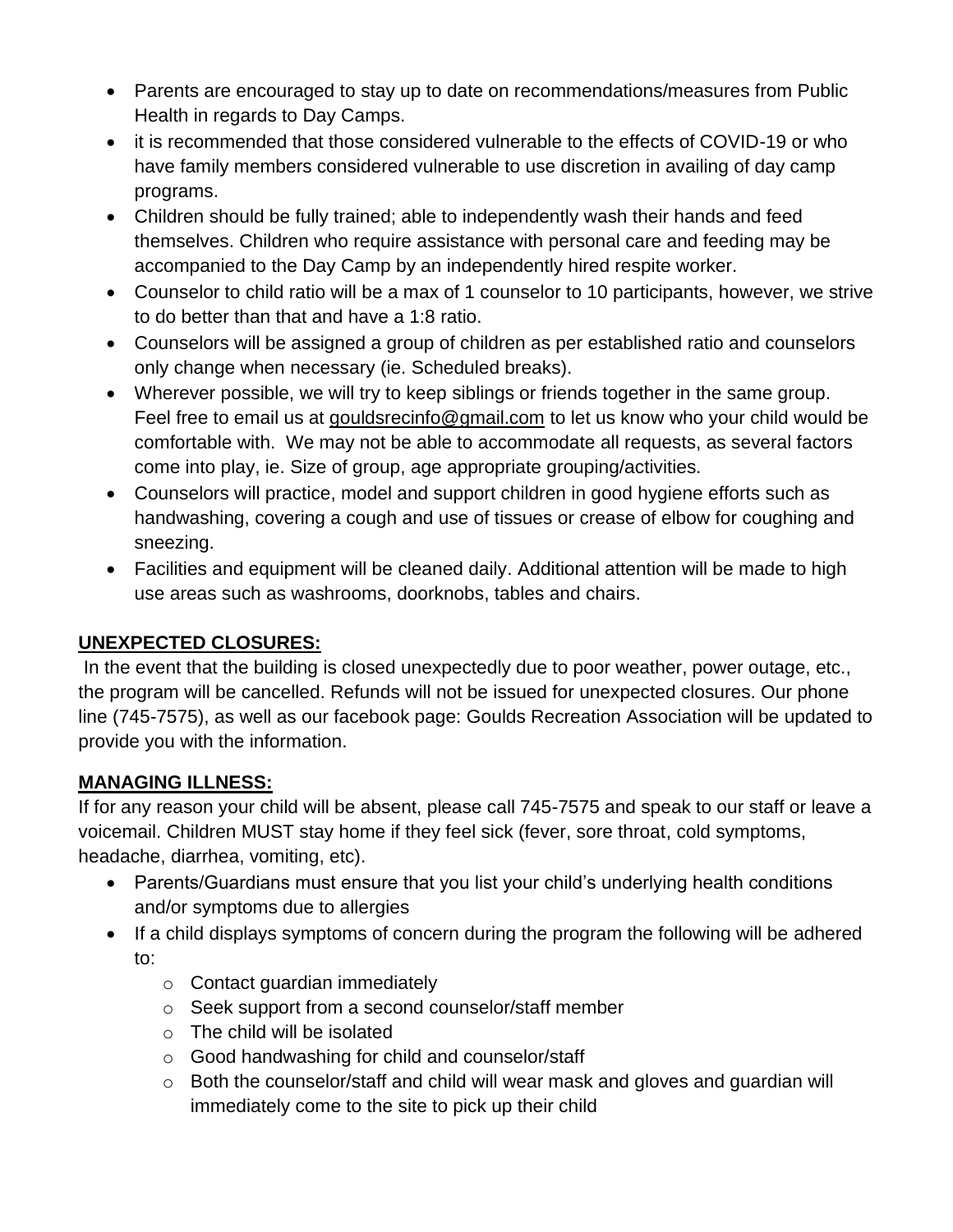- Parents are encouraged to stay up to date on recommendations/measures from Public Health in regards to Day Camps.
- it is recommended that those considered vulnerable to the effects of COVID-19 or who have family members considered vulnerable to use discretion in availing of day camp programs.
- Children should be fully trained; able to independently wash their hands and feed themselves. Children who require assistance with personal care and feeding may be accompanied to the Day Camp by an independently hired respite worker.
- Counselor to child ratio will be a max of 1 counselor to 10 participants, however, we strive to do better than that and have a 1:8 ratio.
- Counselors will be assigned a group of children as per established ratio and counselors only change when necessary (ie. Scheduled breaks).
- Wherever possible, we will try to keep siblings or friends together in the same group. Feel free to email us at [gouldsrecinfo@gmail.com](mailto:gouldsrecinfo@gmail.com) to let us know who your child would be comfortable with. We may not be able to accommodate all requests, as several factors come into play, ie. Size of group, age appropriate grouping/activities.
- Counselors will practice, model and support children in good hygiene efforts such as handwashing, covering a cough and use of tissues or crease of elbow for coughing and sneezing.
- Facilities and equipment will be cleaned daily. Additional attention will be made to high use areas such as washrooms, doorknobs, tables and chairs.

#### **UNEXPECTED CLOSURES:**

In the event that the building is closed unexpectedly due to poor weather, power outage, etc., the program will be cancelled. Refunds will not be issued for unexpected closures. Our phone line (745-7575), as well as our facebook page: Goulds Recreation Association will be updated to provide you with the information.

# **MANAGING ILLNESS:**

If for any reason your child will be absent, please call 745-7575 and speak to our staff or leave a voicemail. Children MUST stay home if they feel sick (fever, sore throat, cold symptoms, headache, diarrhea, vomiting, etc).

- Parents/Guardians must ensure that you list your child's underlying health conditions and/or symptoms due to allergies
- If a child displays symptoms of concern during the program the following will be adhered to:
	- o Contact guardian immediately
	- o Seek support from a second counselor/staff member
	- o The child will be isolated
	- o Good handwashing for child and counselor/staff
	- o Both the counselor/staff and child will wear mask and gloves and guardian will immediately come to the site to pick up their child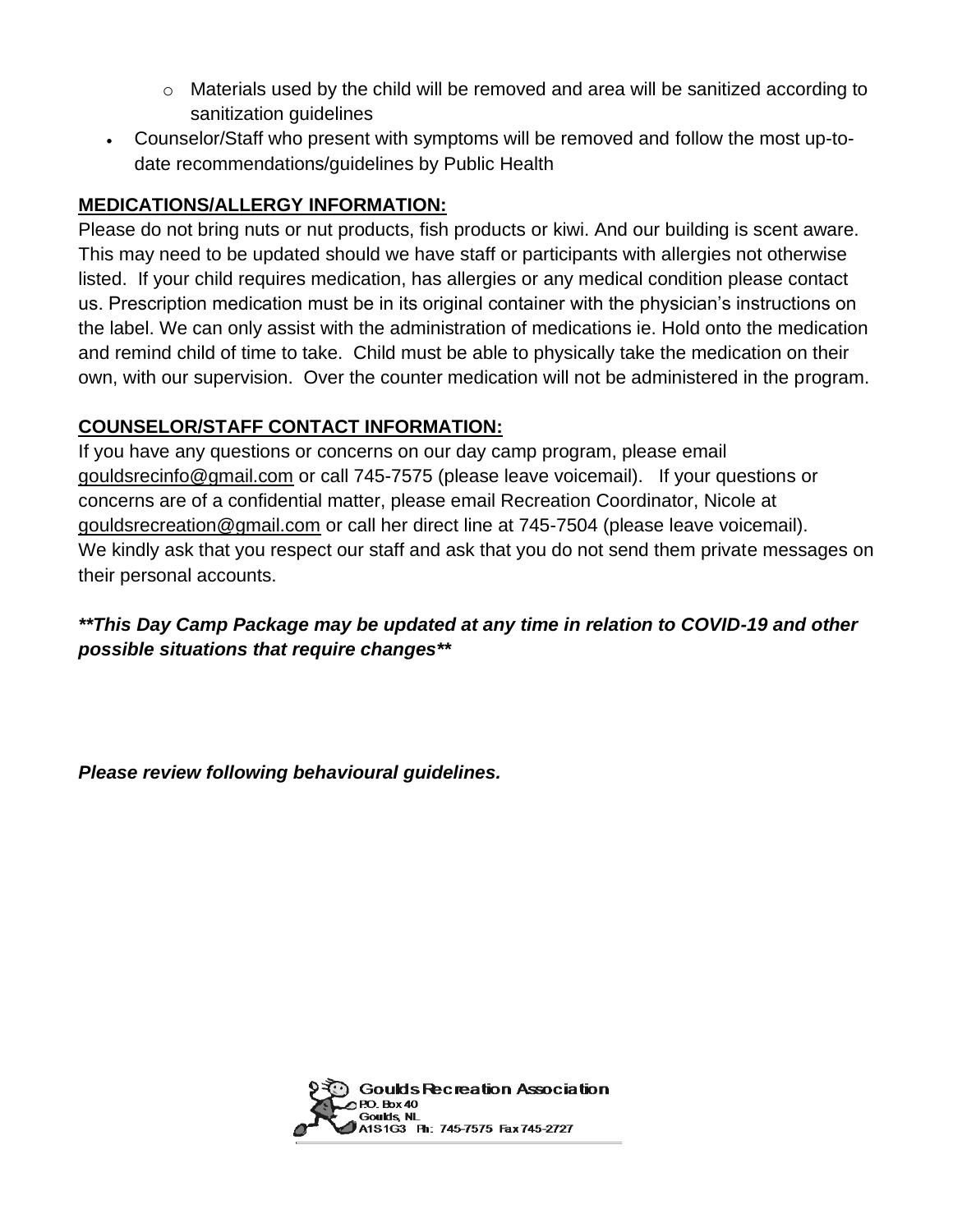- $\circ$  Materials used by the child will be removed and area will be sanitized according to sanitization guidelines
- Counselor/Staff who present with symptoms will be removed and follow the most up-todate recommendations/guidelines by Public Health

#### **MEDICATIONS/ALLERGY INFORMATION:**

Please do not bring nuts or nut products, fish products or kiwi. And our building is scent aware. This may need to be updated should we have staff or participants with allergies not otherwise listed. If your child requires medication, has allergies or any medical condition please contact us. Prescription medication must be in its original container with the physician's instructions on the label. We can only assist with the administration of medications ie. Hold onto the medication and remind child of time to take. Child must be able to physically take the medication on their own, with our supervision. Over the counter medication will not be administered in the program.

#### **COUNSELOR/STAFF CONTACT INFORMATION:**

If you have any questions or concerns on our day camp program, please email [gouldsrecinfo@gmail.com](mailto:gouldsrecinfo@gmail.com) or call 745-7575 (please leave voicemail). If your questions or concerns are of a confidential matter, please email Recreation Coordinator, Nicole at [gouldsrecreation@gmail.com](mailto:gouldsrecreation@gmail.com) or call her direct line at 745-7504 (please leave voicemail). We kindly ask that you respect our staff and ask that you do not send them private messages on their personal accounts.

*\*\*This Day Camp Package may be updated at any time in relation to COVID-19 and other possible situations that require changes\*\**

*Please review following behavioural guidelines.*

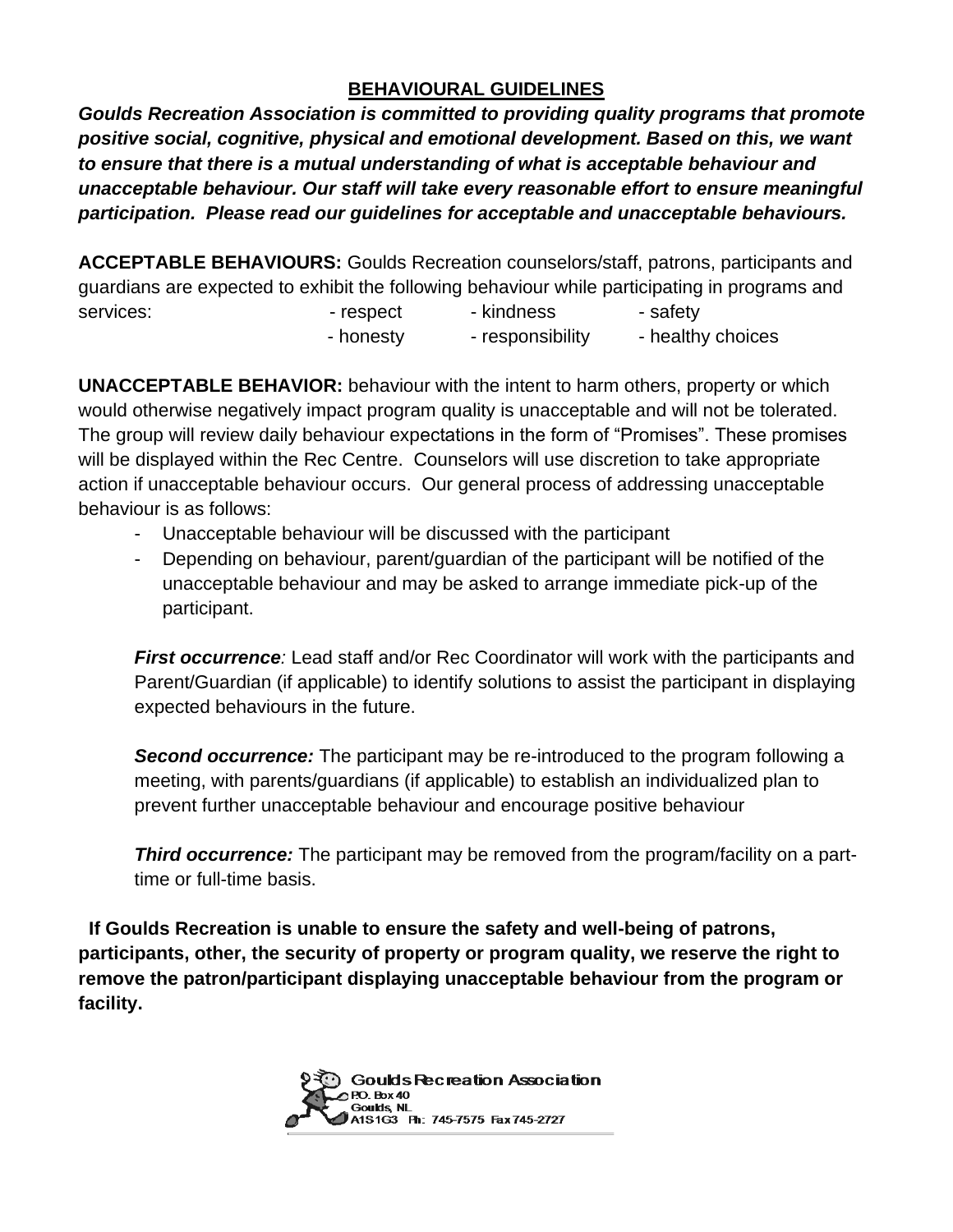#### **BEHAVIOURAL GUIDELINES**

*Goulds Recreation Association is committed to providing quality programs that promote positive social, cognitive, physical and emotional development. Based on this, we want to ensure that there is a mutual understanding of what is acceptable behaviour and unacceptable behaviour. Our staff will take every reasonable effort to ensure meaningful participation. Please read our guidelines for acceptable and unacceptable behaviours.*

**ACCEPTABLE BEHAVIOURS:** Goulds Recreation counselors/staff, patrons, participants and guardians are expected to exhibit the following behaviour while participating in programs and services: The services: The services: The services: The safety services: The safety - honesty - responsibility - healthy choices

**UNACCEPTABLE BEHAVIOR:** behaviour with the intent to harm others, property or which would otherwise negatively impact program quality is unacceptable and will not be tolerated. The group will review daily behaviour expectations in the form of "Promises". These promises will be displayed within the Rec Centre. Counselors will use discretion to take appropriate action if unacceptable behaviour occurs. Our general process of addressing unacceptable behaviour is as follows:

- Unacceptable behaviour will be discussed with the participant
- Depending on behaviour, parent/guardian of the participant will be notified of the unacceptable behaviour and may be asked to arrange immediate pick-up of the participant.

*First occurrence:* Lead staff and/or Rec Coordinator will work with the participants and Parent/Guardian (if applicable) to identify solutions to assist the participant in displaying expected behaviours in the future.

**Second occurrence:** The participant may be re-introduced to the program following a meeting, with parents/guardians (if applicable) to establish an individualized plan to prevent further unacceptable behaviour and encourage positive behaviour

**Third occurrence:** The participant may be removed from the program/facility on a parttime or full-time basis.

**If Goulds Recreation is unable to ensure the safety and well-being of patrons, participants, other, the security of property or program quality, we reserve the right to remove the patron/participant displaying unacceptable behaviour from the program or facility.**